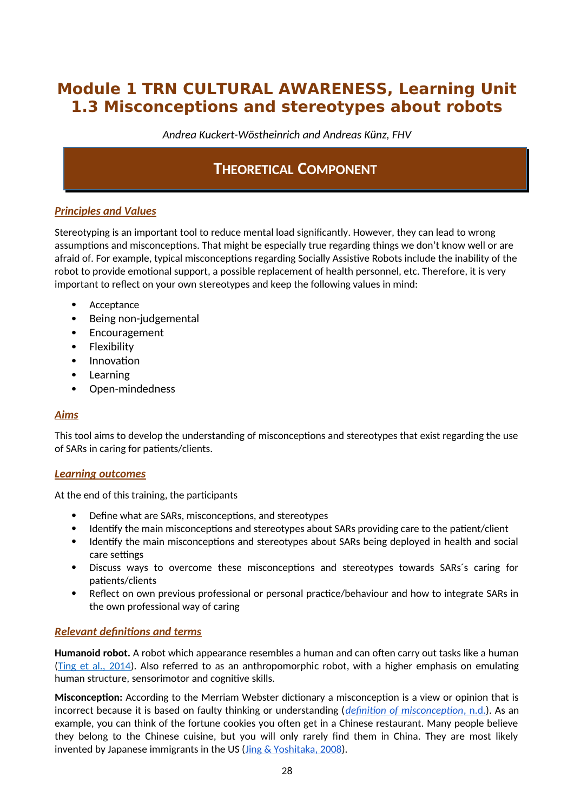# **Module 1 TRN CULTURAL AWARENESS, Learning Unit 1.3 Misconceptions and stereotypes about robots**

*Andrea Kuckert-Wöstheinrich and Andreas Künz, FHV*

# **THEORETICAL COMPONENT**

## *Principles and Values*

Stereotyping is an important tool to reduce mental load significantly. However, they can lead to wrong assumptions and misconceptions. That might be especially true regarding things we don't know well or are afraid of. For example, typical misconceptions regarding Socially Assistive Robots include the inability of the robot to provide emotional support, a possible replacement of health personnel, etc. Therefore, it is very important to reflect on your own stereotypes and keep the following values in mind:

- Acceptance
- Being non-judgemental
- Encouragement
- Flexibility
- Innovation
- Learning
- Open-mindedness

### *Aims*

This tool aims to develop the understanding of misconceptions and stereotypes that exist regarding the use of SARs in caring for patients/clients.

### *Learning outcomes*

At the end of this training, the participants

- Define what are SARs, misconceptions, and stereotypes
- Identify the main misconceptions and stereotypes about SARs providing care to the patient/client
- Identify the main misconceptions and stereotypes about SARs being deployed in health and social care settings
- Discuss ways to overcome these misconceptions and stereotypes towards SARs´s caring for patients/clients
- Reflect on own previous professional or personal practice/behaviour and how to integrate SARs in the own professional way of caring

## *Relevant definitions and terms*

**Humanoid robot.** A robot which appearance resembles a human and can often carry out tasks like a human [\(Ting et al., 2014\)](https://www.researchgate.net/publication/286073866_Humanoid_Robot_A_Review_of_the_Architecture_Applications_and_Future_Trend). Also referred to as an anthropomorphic robot, with a higher emphasis on emulating human structure, sensorimotor and cognitive skills.

**Misconception:** According to the Merriam Webster dictionary a misconception is a view or opinion that is incorrect because it is based on faulty thinking or understanding (*definition of misconception, n.d.*). As an example, you can think of the fortune cookies you often get in a Chinese restaurant. Many people believe they belong to the Chinese cuisine, but you will only rarely find them in China. They are most likely invented by Japanese immigrants in the US  $(\underline{Jing} \& \underline{Yoshitaka}, 2008)$ .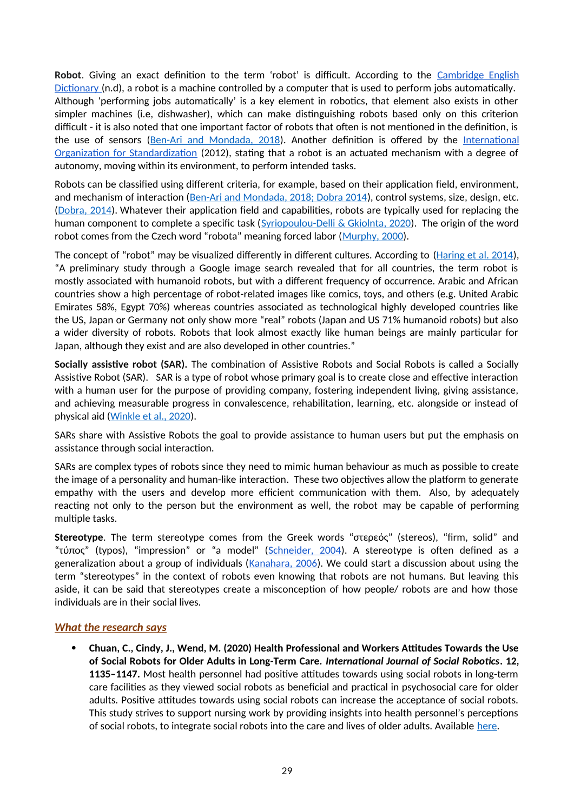**Robot**. Giving an exact definition to the term 'robot' is difficult. According to the Cambridge English Dictionary (n.d), a robot is a machine controlled by a computer that is used to perform jobs automatically. Although 'performing jobs automatically' is a key element in robotics, that element also exists in other simpler machines (i.e, dishwasher), which can make distinguishing robots based only on this criterion difficult - it is also noted that one important factor of robots that often is not mentioned in the definition, is the use of sensors ([Ben-Ari and Mondada, 2018\)](https://www.researchgate.net/publication/320674637_Robots_and_Their_Applications). Another definition is offered by the International Organization for Standardization (2012), stating that a robot is an actuated mechanism with a degree of autonomy, moving within its environment, to perform intended tasks.

Robots can be classified using different criteria, for example, based on their application field, environment, and mechanism of interaction ([Ben-Ari and Mondada, 2018; Dobra 2014](https://www.researchgate.net/publication/320674637_Robots_and_Their_Applications)), control systems, size, design, etc. [\(Dobra, 2014\)](https://www.researchgate.net/publication/286652452_General_classification_of_robots_Size_criteria). Whatever their application field and capabilities, robots are typically used for replacing the human component to complete a specific task ([Syriopoulou-Delli & Gkiolnta, 2020](https://www.researchgate.net/publication/337886810_Review_of_Assistive_Technology_in_the_training_of_Children_with_Autism_Spectrum_Disorders)). The origin of the word robot comes from the Czech word "robota" meaning forced labor ([Murphy, 2000](https://mitpress.mit.edu/books/introduction-ai-robotics-second-edition)).

The concept of "robot" may be visualized differently in different cultures. According to ([Haring et al. 2014\)](https://www.researchgate.net/publication/266416317_Cultural_Differences_in_Perception_and_Attitude_towards_Robots), "A preliminary study through a Google image search revealed that for all countries, the term robot is mostly associated with humanoid robots, but with a different frequency of occurrence. Arabic and African countries show a high percentage of robot-related images like comics, toys, and others (e.g. United Arabic Emirates 58%, Egypt 70%) whereas countries associated as technological highly developed countries like the US, Japan or Germany not only show more "real" robots (Japan and US 71% humanoid robots) but also a wider diversity of robots. Robots that look almost exactly like human beings are mainly particular for Japan, although they exist and are also developed in other countries."

**Socially assistive robot (SAR).** The combination of Assistive Robots and Social Robots is called a Socially Assistive Robot (SAR). SAR is a type of robot whose primary goal is to create close and effective interaction with a human user for the purpose of providing company, fostering independent living, giving assistance, and achieving measurable progress in convalescence, rehabilitation, learning, etc. alongside or instead of physical aid [\(Winkle et al., 2020\)](https://www.researchgate.net/publication/331576322_Mutual_Shaping_in_the_Design_of_Socially_Assistive_Robots_A_Case_Study_on_Social_Robots_for_Therapy).

SARs share with Assistive Robots the goal to provide assistance to human users but put the emphasis on assistance through social interaction.

SARs are complex types of robots since they need to mimic human behaviour as much as possible to create the image of a personality and human-like interaction. These two objectives allow the platform to generate empathy with the users and develop more efficient communication with them. Also, by adequately reacting not only to the person but the environment as well, the robot may be capable of performing multiple tasks.

**Stereotype**. The term stereotype comes from the Greek words "στερεός" (stereos), "firm, solid" and "τύπος" (typos), "impression" or "a model" (Schneider, 2004). A stereotype is often defined as a generalization about a group of individuals ( $K$ anahara,  $2006$ ). We could start a discussion about using the term "stereotypes" in the context of robots even knowing that robots are not humans. But leaving this aside, it can be said that stereotypes create a misconception of how people/ robots are and how those individuals are in their social lives.

### *What the research says*

 **Chuan, C., Cindy, J., Wend, M. (2020) Health Professional and Workers Attitudes Towards the Use of Social Robots for Older Adults in Long-Term Care.** *International Journal of Social Robotics***. 12, 1135–1147.** Most health personnel had positive attitudes towards using social robots in long-term care facilities as they viewed social robots as beneficial and practical in psychosocial care for older adults. Positive attitudes towards using social robots can increase the acceptance of social robots. This study strives to support nursing work by providing insights into health personnel's perceptions of social robots, to integrate social robots into the care and lives of older adults. Available [here.](https://pure.bond.edu.au/ws/files/34797821/AM_Health_Professional_and_Workers_Attitudes_Towards_the_Use_%20of_Social.pdf)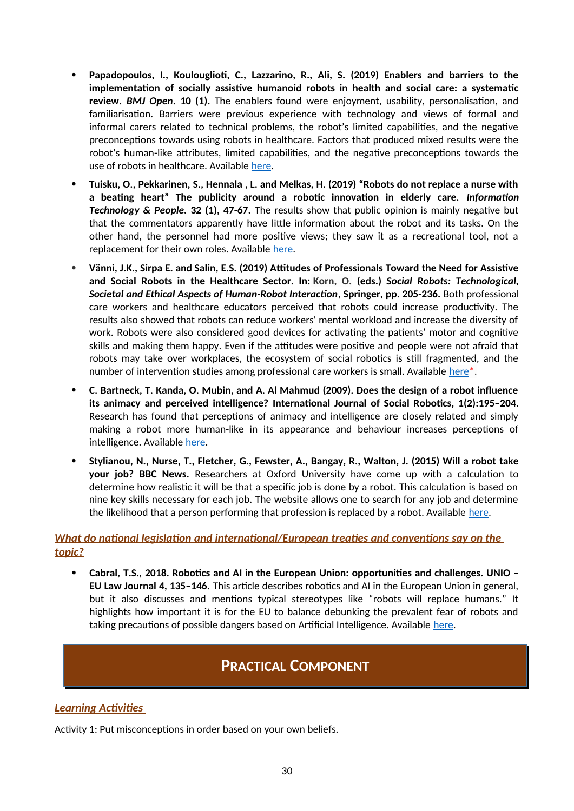- **Papadopoulos, I., Koulouglioti, C., Lazzarino, R., Ali, S. (2019) Enablers and barriers to the implementation of socially assistive humanoid robots in health and social care: a systematic review.** *BMJ Open***. 10 (1).** The enablers found were enjoyment, usability, personalisation, and familiarisation. Barriers were previous experience with technology and views of formal and informal carers related to technical problems, the robot's limited capabilities, and the negative preconceptions towards using robots in healthcare. Factors that produced mixed results were the robot's human-like attributes, limited capabilities, and the negative preconceptions towards the use of robots in healthcare. Available [here](https://bmjopen.bmj.com/content/10/1/e033096).
- **Tuisku, O., Pekkarinen, S., Hennala , L. and Melkas, H. (2019) "Robots do not replace a nurse with a beating heart" The publicity around a robotic innovation in elderly care.** *Information Technology & People.* **32 (1), 47-67.** The results show that public opinion is mainly negative but that the commentators apparently have little information about the robot and its tasks. On the other hand, the personnel had more positive views; they saw it as a recreational tool, not a replacement for their own roles. Available [here.](https://lutpub.lut.fi/bitstream/handle/10024/158952/tuisku_et_al_robots_do_not_replace_final_draft.pdf)
- **Vänni, J.K., Sirpa E. and Salin, E.S. (2019) Attitudes of Professionals Toward the Need for Assistive and Social Robots in the Healthcare Sector. In: Korn, O. (eds.)** *Social Robots: Technological, Societal and Ethical Aspects of Human-Robot Interaction***, Springer, pp. 205-236.** Both professional care workers and healthcare educators perceived that robots could increase productivity. The results also showed that robots can reduce workers' mental workload and increase the diversity of work. Robots were also considered good devices for activating the patients' motor and cognitive skills and making them happy. Even if the attitudes were positive and people were not afraid that robots may take over workplaces, the ecosystem of social robotics is still fragmented, and the number of intervention studies among professional care workers is small. Available  $here<sup>*</sup>$ .</u>
- **C. Bartneck, T. Kanda, O. Mubin, and A. Al Mahmud (2009). Does the design of a robot influence its animacy and perceived intelligence? International Journal of Social Robotics, 1(2):195–204.** Research has found that perceptions of animacy and intelligence are closely related and simply making a robot more human-like in its appearance and behaviour increases perceptions of intelligence. Available [here](https://www.researchgate.net/publication/301914361_Human_expectations_of_social_robots).
- **Stylianou, N., Nurse, T., Fletcher, G., Fewster, A., Bangay, R., Walton, J. (2015) Will a robot take your job? BBC News.** Researchers at Oxford University have come up with a calculation to determine how realistic it will be that a specific job is done by a robot. This calculation is based on nine key skills necessary for each job. The website allows one to search for any job and determine the likelihood that a person performing that profession is replaced by a robot. Available [here.](https://www.bbc.com/news/technology-34066941)

## *What do national legislation and international/European treaties and conventions say on the topic?*

 **Cabral, T.S., 2018. Robotics and AI in the European Union: opportunities and challenges. UNIO – EU Law Journal 4, 135–146.** This article describes robotics and AI in the European Union in general, but it also discusses and mentions typical stereotypes like "robots will replace humans." It highlights how important it is for the EU to balance debunking the prevalent fear of robots and taking precautions of possible dangers based on Artificial Intelligence. Available [here](https://revistas.uminho.pt/index.php/unio/article/view/27/13).

# **PRACTICAL COMPONENT**

## *Learning Activities*

Activity 1: Put misconceptions in order based on your own beliefs.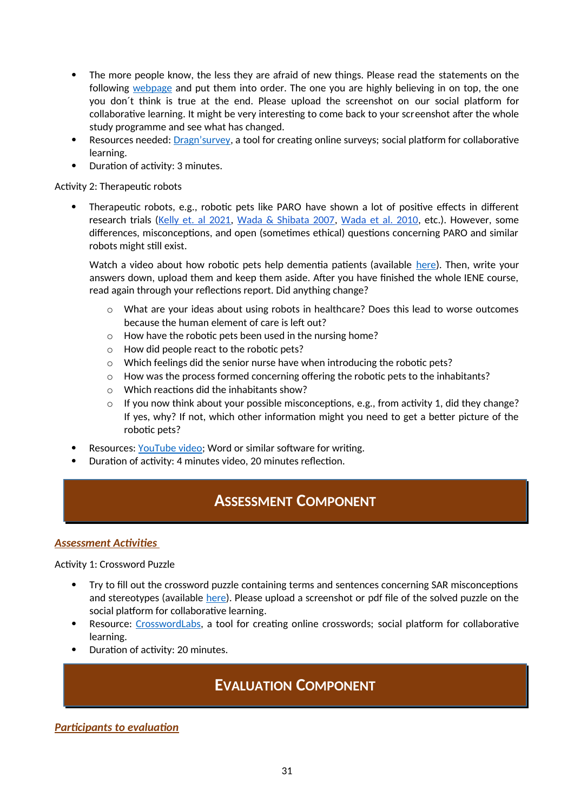- The more people know, the less they are afraid of new things. Please read the statements on the following [webpage](https://form.dragnsurvey.com/survey/r/4d15203f) and put them into order. The one you are highly believing in on top, the one you don´t think is true at the end. Please upload the screenshot on our social platform for collaborative learning. It might be very interesting to come back to your screenshot after the whole study programme and see what has changed.
- Resources needed: [Dragn'survey](https://form.dragnsurvey.com/survey/r/4d15203f), a tool for creating online surveys; social platform for collaborative learning.
- Duration of activity: 3 minutes.

Activity 2: Therapeutic robots

 Therapeutic robots, e.g., robotic pets like PARO have shown a lot of positive effects in different research trials (Kelly et. al 2021, Wada & Shibata 2007, Wada et al. 2010, etc.). However, some differences, misconceptions, and open (sometimes ethical) questions concerning PARO and similar robots might still exist.

Watch a video about how robotic pets help dementia patients (available [here](https://www.youtube.com/watch?v=cFvGAL9tesM)). Then, write your answers down, upload them and keep them aside. After you have finished the whole IENE course, read again through your reflections report. Did anything change?

- $\circ$  What are your ideas about using robots in healthcare? Does this lead to worse outcomes because the human element of care is left out?
- o How have the robotic pets been used in the nursing home?
- o How did people react to the robotic pets?
- o Which feelings did the senior nurse have when introducing the robotic pets?
- $\circ$  How was the process formed concerning offering the robotic pets to the inhabitants?
- o Which reactions did the inhabitants show?
- $\circ$  If you now think about your possible misconceptions, e.g., from activity 1, did they change? If yes, why? If not, which other information might you need to get a better picture of the robotic pets?
- Resources: [YouTube video;](https://www.youtube.com/watch?v=cFvGAL9tesM) Word or similar software for writing.
- Duration of activity: 4 minutes video, 20 minutes reflection.

# **ASSESSMENT COMPONENT**

### *Assessment Activities*

Activity 1: Crossword Puzzle

- Try to fill out the crossword puzzle containing terms and sentences concerning SAR misconceptions and stereotypes (available [here\)](https://crosswordlabs.com/embed/iene10-lu13-aa1). Please upload a screenshot or pdf file of the solved puzzle on the social platform for collaborative learning.
- Resource: [CrosswordLabs](https://crosswordlabs.com/), a tool for creating online crosswords; social platform for collaborative learning.
- Duration of activity: 20 minutes.

# **EVALUATION COMPONENT**

*Participants to evaluation*